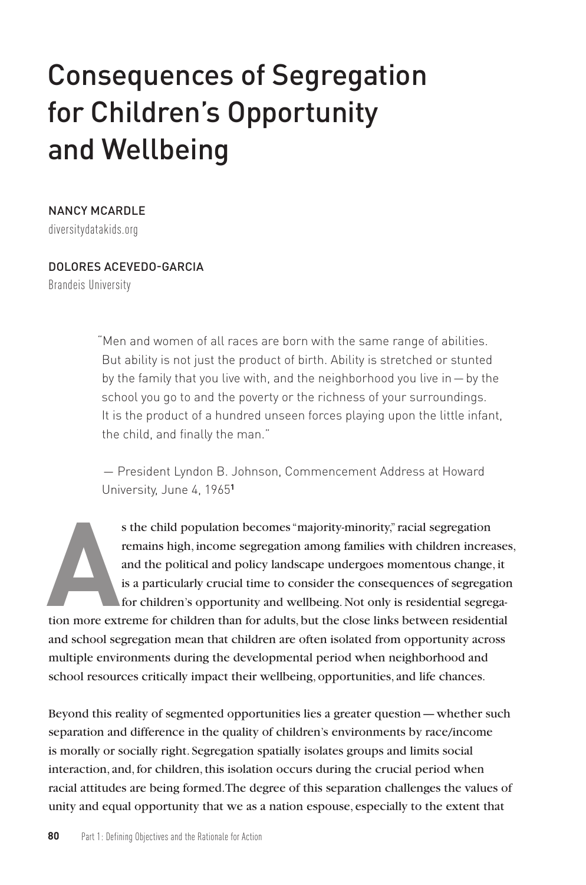# Consequences of Segregation for Children's Opportunity and Wellbeing

### NANCY MCARDLE

diversitydatakids.org

#### DOLORES ACEVEDO-GARCIA

Brandeis University

"Men and women of all races are born with the same range of abilities. But ability is not just the product of birth. Ability is stretched or stunted by the family that you live with, and the neighborhood you live in—by the school you go to and the poverty or the richness of your surroundings. It is the product of a hundred unseen forces playing upon the little infant, the child, and finally the man."

— President Lyndon B. Johnson, Commencement Address at Howard University, June 4, 1965**<sup>1</sup>**

Fash of the child population becomes "majority-minority," racial segregation remains high, income segregation among families with children increases and the political and policy landscape undergoes momentous change, it is remains high, income segregation among families with children increases, and the political and policy landscape undergoes momentous change, it is a particularly crucial time to consider the consequences of segregation for children's opportunity and wellbeing. Not only is residential segregaand school segregation mean that children are often isolated from opportunity across multiple environments during the developmental period when neighborhood and school resources critically impact their wellbeing, opportunities, and life chances.

Beyond this reality of segmented opportunities lies a greater question—whether such separation and difference in the quality of children's environments by race/income is morally or socially right. Segregation spatially isolates groups and limits social interaction, and, for children, this isolation occurs during the crucial period when racial attitudes are being formed. The degree of this separation challenges the values of unity and equal opportunity that we as a nation espouse, especially to the extent that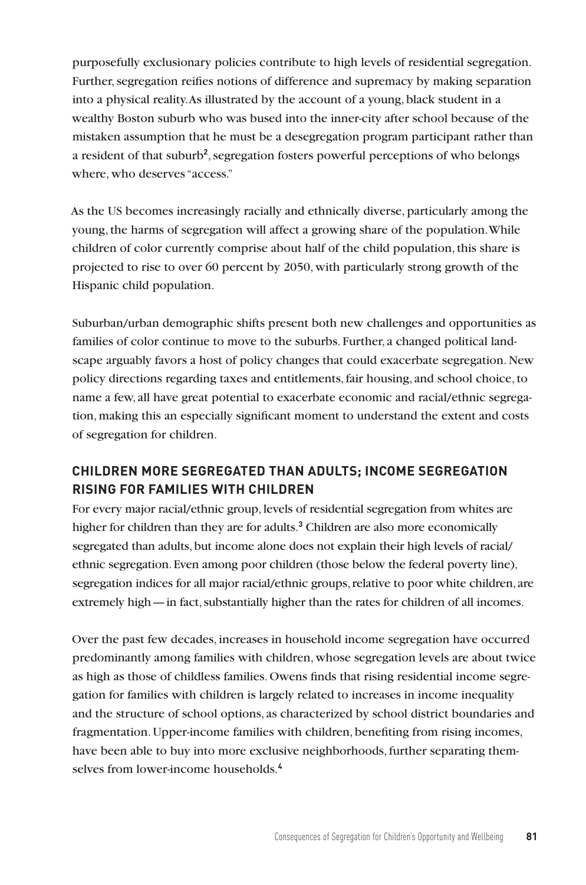purposefully exclusionary policies contribute to high levels of residential segregation. Further, segregation reifies notions of difference and supremacy by making separation into a physical reality. As illustrated by the account of a young, black student in a wealthy Boston suburb who was bused into the inner-city after school because of the mistaken assumption that he must be a desegregation program participant rather than a resident of that suburb<sup>2</sup>, segregation fosters powerful perceptions of who belongs where, who deserves "access."

As the US becomes increasingly racially and ethnically diverse, particularly among the young, the harms of segregation will affect a growing share of the population. While children of color currently comprise about half of the child population, this share is projected to rise to over 60 percent by 2050, with particularly strong growth of the Hispanic child population.

Suburban/urban demographic shifts present both new challenges and opportunities as families of color continue to move to the suburbs. Further, a changed political landscape arguably favors a host of policy changes that could exacerbate segregation. New policy directions regarding taxes and entitlements, fair housing, and school choice, to name a few, all have great potential to exacerbate economic and racial/ethnic segregation, making this an especially significant moment to understand the extent and costs of segregation for children.

# **CHILDREN MORE SEGREGATED THAN ADULTS; INCOME SEGREGATION RISING FOR FAMILIES WITH CHILDREN**

For every major racial/ethnic group, levels of residential segregation from whites are higher for children than they are for adults.**<sup>3</sup>** Children are also more economically segregated than adults, but income alone does not explain their high levels of racial/ ethnic segregation. Even among poor children (those below the federal poverty line), segregation indices for all major racial/ethnic groups, relative to poor white children, are extremely high—in fact, substantially higher than the rates for children of all incomes.

Over the past few decades, increases in household income segregation have occurred predominantly among families with children, whose segregation levels are about twice as high as those of childless families. Owens finds that rising residential income segregation for families with children is largely related to increases in income inequality and the structure of school options, as characterized by school district boundaries and fragmentation. Upper-income families with children, benefiting from rising incomes, have been able to buy into more exclusive neighborhoods, further separating themselves from lower-income households.**4**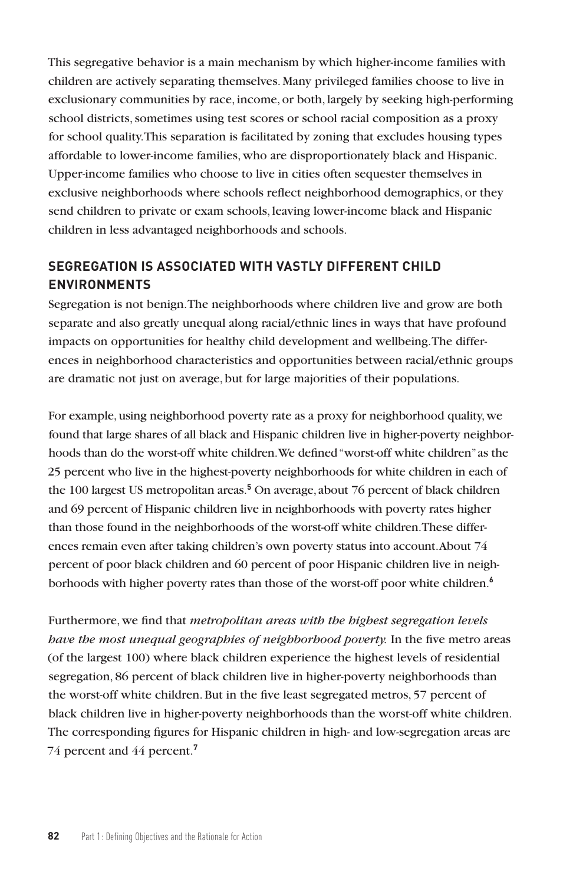This segregative behavior is a main mechanism by which higher-income families with children are actively separating themselves. Many privileged families choose to live in exclusionary communities by race, income, or both, largely by seeking high-performing school districts, sometimes using test scores or school racial composition as a proxy for school quality. This separation is facilitated by zoning that excludes housing types affordable to lower-income families, who are disproportionately black and Hispanic. Upper-income families who choose to live in cities often sequester themselves in exclusive neighborhoods where schools reflect neighborhood demographics, or they send children to private or exam schools, leaving lower-income black and Hispanic children in less advantaged neighborhoods and schools.

## **SEGREGATION IS ASSOCIATED WITH VASTLY DIFFERENT CHILD ENVIRONMENTS**

Segregation is not benign. The neighborhoods where children live and grow are both separate and also greatly unequal along racial/ethnic lines in ways that have profound impacts on opportunities for healthy child development and wellbeing. The differences in neighborhood characteristics and opportunities between racial/ethnic groups are dramatic not just on average, but for large majorities of their populations.

For example, using neighborhood poverty rate as a proxy for neighborhood quality, we found that large shares of all black and Hispanic children live in higher-poverty neighborhoods than do the worst-off white children. We defined "worst-off white children" as the 25 percent who live in the highest-poverty neighborhoods for white children in each of the 100 largest US metropolitan areas.**<sup>5</sup>** On average, about 76 percent of black children and 69 percent of Hispanic children live in neighborhoods with poverty rates higher than those found in the neighborhoods of the worst-off white children. These differences remain even after taking children's own poverty status into account. About 74 percent of poor black children and 60 percent of poor Hispanic children live in neighborhoods with higher poverty rates than those of the worst-off poor white children.**<sup>6</sup>**

Furthermore, we find that *metropolitan areas with the highest segregation levels have the most unequal geographies of neighborhood poverty.* In the five metro areas (of the largest 100) where black children experience the highest levels of residential segregation, 86 percent of black children live in higher-poverty neighborhoods than the worst-off white children. But in the five least segregated metros, 57 percent of black children live in higher-poverty neighborhoods than the worst-off white children. The corresponding figures for Hispanic children in high- and low-segregation areas are 74 percent and 44 percent.**7**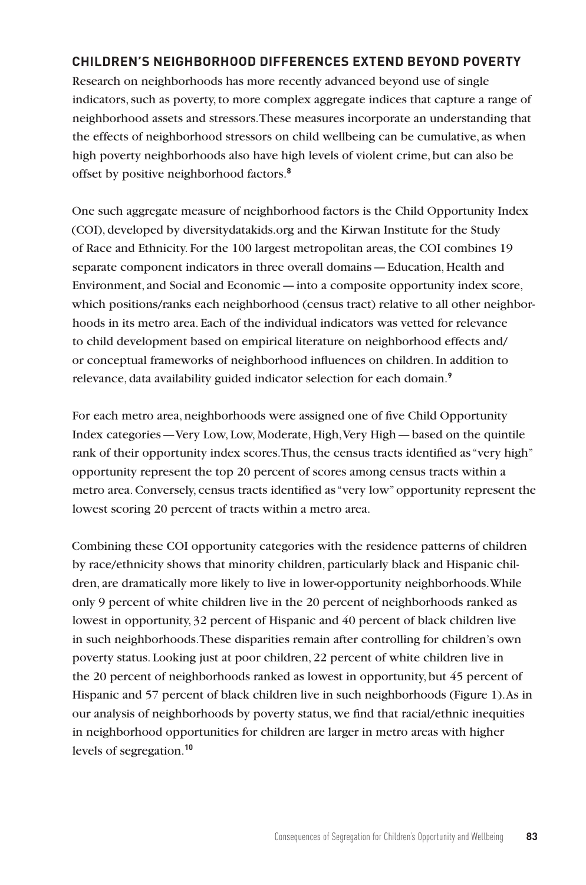## **CHILDREN'S NEIGHBORHOOD DIFFERENCES EXTEND BEYOND POVERTY**

Research on neighborhoods has more recently advanced beyond use of single indicators, such as poverty, to more complex aggregate indices that capture a range of neighborhood assets and stressors. These measures incorporate an understanding that the effects of neighborhood stressors on child wellbeing can be cumulative, as when high poverty neighborhoods also have high levels of violent crime, but can also be offset by positive neighborhood factors.**<sup>8</sup>**

One such aggregate measure of neighborhood factors is the Child Opportunity Index (COI), developed by diversitydatakids.org and the Kirwan Institute for the Study of Race and Ethnicity. For the 100 largest metropolitan areas, the COI combines 19 separate component indicators in three overall domains—Education, Health and Environment, and Social and Economic—into a composite opportunity index score, which positions/ranks each neighborhood (census tract) relative to all other neighborhoods in its metro area. Each of the individual indicators was vetted for relevance to child development based on empirical literature on neighborhood effects and/ or conceptual frameworks of neighborhood influences on children. In addition to relevance, data availability guided indicator selection for each domain.**<sup>9</sup>**

For each metro area, neighborhoods were assigned one of five Child Opportunity Index categories—Very Low, Low, Moderate, High, Very High—based on the quintile rank of their opportunity index scores. Thus, the census tracts identified as "very high" opportunity represent the top 20 percent of scores among census tracts within a metro area. Conversely, census tracts identified as "very low" opportunity represent the lowest scoring 20 percent of tracts within a metro area.

Combining these COI opportunity categories with the residence patterns of children by race/ethnicity shows that minority children, particularly black and Hispanic children, are dramatically more likely to live in lower-opportunity neighborhoods. While only 9 percent of white children live in the 20 percent of neighborhoods ranked as lowest in opportunity, 32 percent of Hispanic and 40 percent of black children live in such neighborhoods. These disparities remain after controlling for children's own poverty status. Looking just at poor children, 22 percent of white children live in the 20 percent of neighborhoods ranked as lowest in opportunity, but 45 percent of Hispanic and 57 percent of black children live in such neighborhoods (Figure 1). As in our analysis of neighborhoods by poverty status, we find that racial/ethnic inequities in neighborhood opportunities for children are larger in metro areas with higher levels of segregation.**10**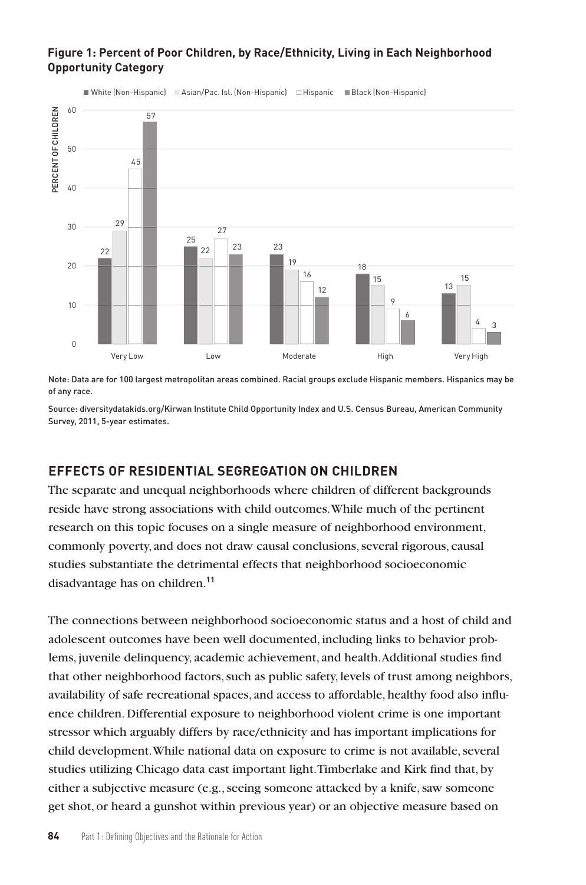## **Figure 1: Percent of Poor Children, by Race/Ethnicity, Living in Each Neighborhood Opportunity Category**



White (Non-Hispanic) ■ Asian/Pac. Isl. (Non-Hispanic) □ Hispanic ■ Black (Non-Hispanic)

Note: Data are for 100 largest metropolitan areas combined. Racial groups exclude Hispanic members. Hispanics may be of any race.

Source: diversitydatakids.org/Kirwan Institute Child Opportunity Index and U.S. Census Bureau, American Community

#### **EFFECTS OF RESIDENTIAL SEGREGATION ON CHILDREN**

The separate and unequal neighborhoods where children of different backgrounds reside have strong associations with child outcomes. While much of the pertinent research on this topic focuses on a single measure of neighborhood environment, commonly poverty, and does not draw causal conclusions, several rigorous, causal studies substantiate the detrimental effects that neighborhood socioeconomic disadvantage has on children.**<sup>11</sup>**

The connections between neighborhood socioeconomic status and a host of child and adolescent outcomes have been well documented, including links to behavior problems, juvenile delinquency, academic achievement, and health. Additional studies find that other neighborhood factors, such as public safety, levels of trust among neighbors, availability of safe recreational spaces, and access to affordable, healthy food also influence children. Differential exposure to neighborhood violent crime is one important stressor which arguably differs by race/ethnicity and has important implications for child development. While national data on exposure to crime is not available, several studies utilizing Chicago data cast important light. Timberlake and Kirk find that, by either a subjective measure (e.g., seeing someone attacked by a knife, saw someone get shot, or heard a gunshot within previous year) or an objective measure based on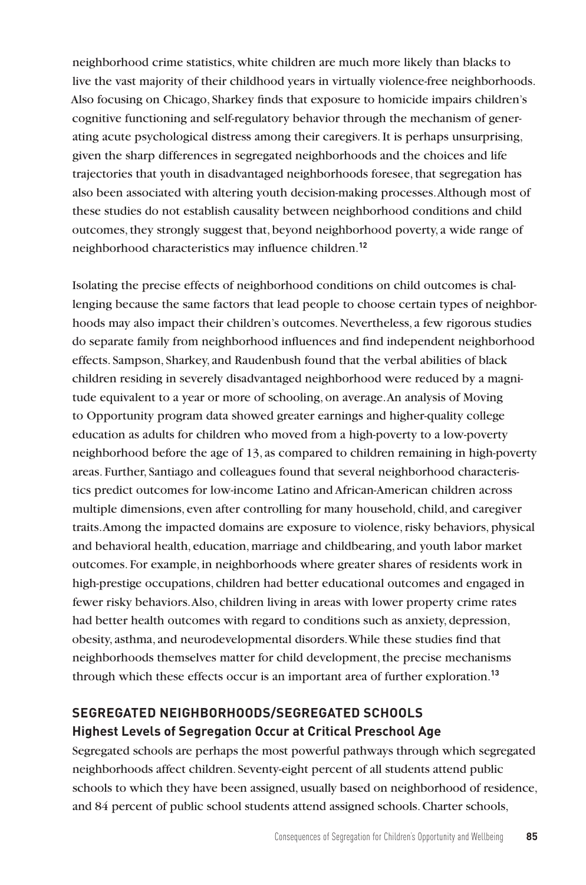neighborhood crime statistics, white children are much more likely than blacks to live the vast majority of their childhood years in virtually violence-free neighborhoods. Also focusing on Chicago, Sharkey finds that exposure to homicide impairs children's cognitive functioning and self-regulatory behavior through the mechanism of generating acute psychological distress among their caregivers. It is perhaps unsurprising, given the sharp differences in segregated neighborhoods and the choices and life trajectories that youth in disadvantaged neighborhoods foresee, that segregation has also been associated with altering youth decision-making processes. Although most of these studies do not establish causality between neighborhood conditions and child outcomes, they strongly suggest that, beyond neighborhood poverty, a wide range of neighborhood characteristics may influence children.**<sup>12</sup>**

Isolating the precise effects of neighborhood conditions on child outcomes is challenging because the same factors that lead people to choose certain types of neighborhoods may also impact their children's outcomes. Nevertheless, a few rigorous studies do separate family from neighborhood influences and find independent neighborhood effects. Sampson, Sharkey, and Raudenbush found that the verbal abilities of black children residing in severely disadvantaged neighborhood were reduced by a magnitude equivalent to a year or more of schooling, on average. An analysis of Moving to Opportunity program data showed greater earnings and higher-quality college education as adults for children who moved from a high-poverty to a low-poverty neighborhood before the age of 13, as compared to children remaining in high-poverty areas. Further, Santiago and colleagues found that several neighborhood characteristics predict outcomes for low-income Latino and African-American children across multiple dimensions, even after controlling for many household, child, and caregiver traits. Among the impacted domains are exposure to violence, risky behaviors, physical and behavioral health, education, marriage and childbearing, and youth labor market outcomes. For example, in neighborhoods where greater shares of residents work in high-prestige occupations, children had better educational outcomes and engaged in fewer risky behaviors. Also, children living in areas with lower property crime rates had better health outcomes with regard to conditions such as anxiety, depression, obesity, asthma, and neurodevelopmental disorders. While these studies find that neighborhoods themselves matter for child development, the precise mechanisms through which these effects occur is an important area of further exploration.**<sup>13</sup>**

# **SEGREGATED NEIGHBORHOODS/SEGREGATED SCHOOLS Highest Levels of Segregation Occur at Critical Preschool Age**

Segregated schools are perhaps the most powerful pathways through which segregated neighborhoods affect children. Seventy-eight percent of all students attend public schools to which they have been assigned, usually based on neighborhood of residence, and 84 percent of public school students attend assigned schools. Charter schools,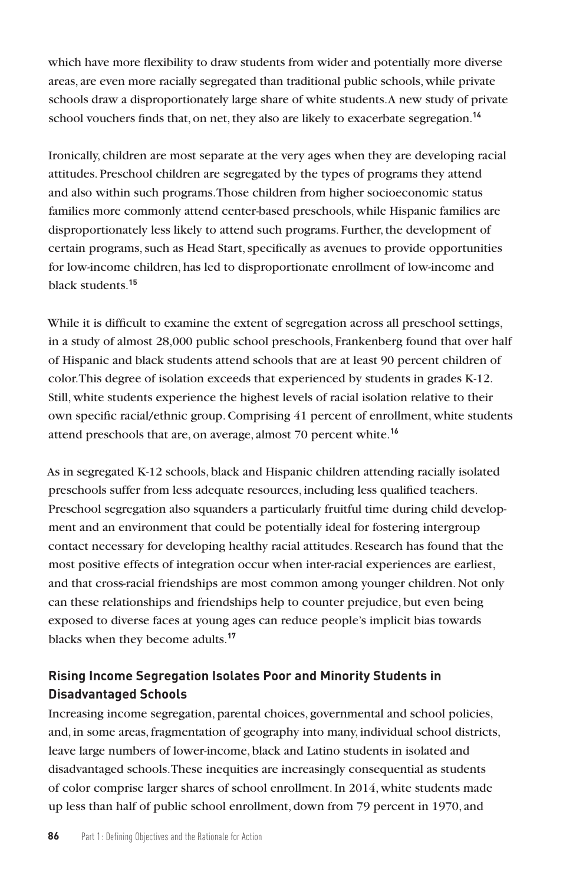which have more flexibility to draw students from wider and potentially more diverse areas, are even more racially segregated than traditional public schools, while private schools draw a disproportionately large share of white students. A new study of private school vouchers finds that, on net, they also are likely to exacerbate segregation.**<sup>14</sup>**

Ironically, children are most separate at the very ages when they are developing racial attitudes. Preschool children are segregated by the types of programs they attend and also within such programs. Those children from higher socioeconomic status families more commonly attend center-based preschools, while Hispanic families are disproportionately less likely to attend such programs. Further, the development of certain programs, such as Head Start, specifically as avenues to provide opportunities for low-income children, has led to disproportionate enrollment of low-income and black students.**<sup>15</sup>**

While it is difficult to examine the extent of segregation across all preschool settings, in a study of almost 28,000 public school preschools, Frankenberg found that over half of Hispanic and black students attend schools that are at least 90 percent children of color. This degree of isolation exceeds that experienced by students in grades K-12. Still, white students experience the highest levels of racial isolation relative to their own specific racial/ethnic group. Comprising 41 percent of enrollment, white students attend preschools that are, on average, almost 70 percent white.**<sup>16</sup>**

As in segregated K-12 schools, black and Hispanic children attending racially isolated preschools suffer from less adequate resources, including less qualified teachers. Preschool segregation also squanders a particularly fruitful time during child development and an environment that could be potentially ideal for fostering intergroup contact necessary for developing healthy racial attitudes. Research has found that the most positive effects of integration occur when inter-racial experiences are earliest, and that cross-racial friendships are most common among younger children. Not only can these relationships and friendships help to counter prejudice, but even being exposed to diverse faces at young ages can reduce people's implicit bias towards blacks when they become adults.**<sup>17</sup>**

# **Rising Income Segregation Isolates Poor and Minority Students in Disadvantaged Schools**

Increasing income segregation, parental choices, governmental and school policies, and, in some areas, fragmentation of geography into many, individual school districts, leave large numbers of lower-income, black and Latino students in isolated and disadvantaged schools. These inequities are increasingly consequential as students of color comprise larger shares of school enrollment. In 2014, white students made up less than half of public school enrollment, down from 79 percent in 1970, and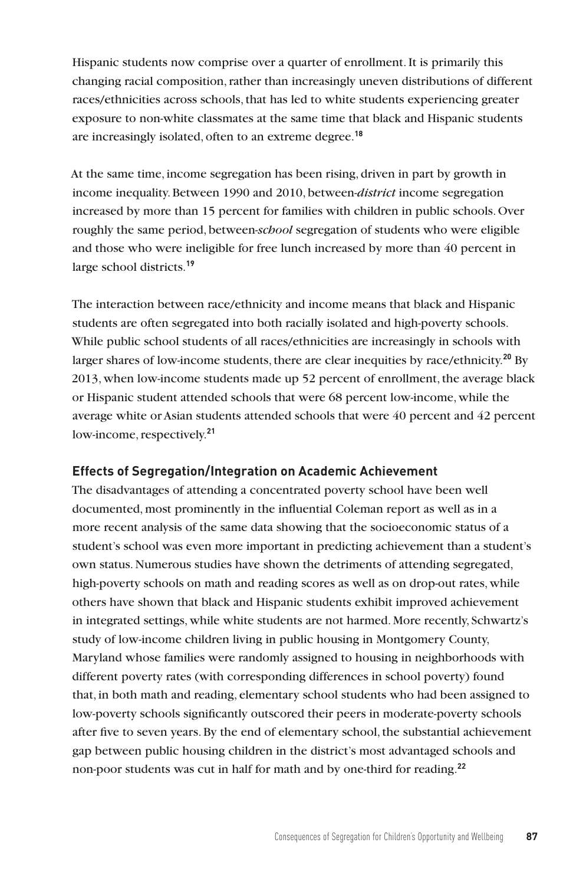Hispanic students now comprise over a quarter of enrollment. It is primarily this changing racial composition, rather than increasingly uneven distributions of different races/ethnicities across schools, that has led to white students experiencing greater exposure to non-white classmates at the same time that black and Hispanic students are increasingly isolated, often to an extreme degree.**<sup>18</sup>**

At the same time, income segregation has been rising, driven in part by growth in income inequality. Between 1990 and 2010, between-*district* income segregation increased by more than 15 percent for families with children in public schools. Over roughly the same period, between-*school* segregation of students who were eligible and those who were ineligible for free lunch increased by more than 40 percent in large school districts.**<sup>19</sup>**

The interaction between race/ethnicity and income means that black and Hispanic students are often segregated into both racially isolated and high-poverty schools. While public school students of all races/ethnicities are increasingly in schools with larger shares of low-income students, there are clear inequities by race/ethnicity.**<sup>20</sup>** By 2013, when low-income students made up 52 percent of enrollment, the average black or Hispanic student attended schools that were 68 percent low-income, while the average white or Asian students attended schools that were 40 percent and 42 percent low-income, respectively.**<sup>21</sup>**

## **Effects of Segregation/Integration on Academic Achievement**

The disadvantages of attending a concentrated poverty school have been well documented, most prominently in the influential Coleman report as well as in a more recent analysis of the same data showing that the socioeconomic status of a student's school was even more important in predicting achievement than a student's own status. Numerous studies have shown the detriments of attending segregated, high-poverty schools on math and reading scores as well as on drop-out rates, while others have shown that black and Hispanic students exhibit improved achievement in integrated settings, while white students are not harmed. More recently, Schwartz's study of low-income children living in public housing in Montgomery County, Maryland whose families were randomly assigned to housing in neighborhoods with different poverty rates (with corresponding differences in school poverty) found that, in both math and reading, elementary school students who had been assigned to low-poverty schools significantly outscored their peers in moderate-poverty schools after five to seven years. By the end of elementary school, the substantial achievement gap between public housing children in the district's most advantaged schools and non-poor students was cut in half for math and by one-third for reading.**22**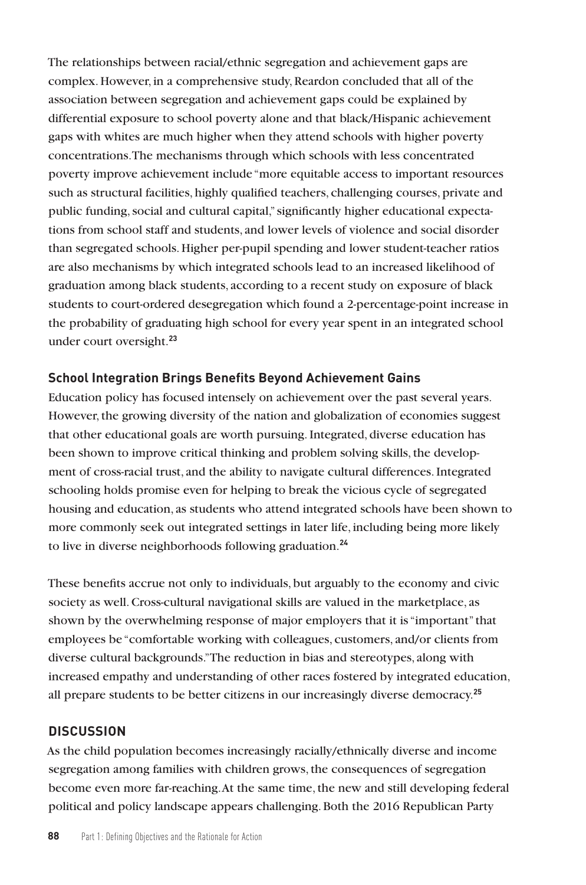The relationships between racial/ethnic segregation and achievement gaps are complex. However, in a comprehensive study, Reardon concluded that all of the association between segregation and achievement gaps could be explained by differential exposure to school poverty alone and that black/Hispanic achievement gaps with whites are much higher when they attend schools with higher poverty concentrations. The mechanisms through which schools with less concentrated poverty improve achievement include "more equitable access to important resources such as structural facilities, highly qualified teachers, challenging courses, private and public funding, social and cultural capital," significantly higher educational expectations from school staff and students, and lower levels of violence and social disorder than segregated schools. Higher per-pupil spending and lower student-teacher ratios are also mechanisms by which integrated schools lead to an increased likelihood of graduation among black students, according to a recent study on exposure of black students to court-ordered desegregation which found a 2-percentage-point increase in the probability of graduating high school for every year spent in an integrated school under court oversight.**<sup>23</sup>**

## **School Integration Brings Benefits Beyond Achievement Gains**

Education policy has focused intensely on achievement over the past several years. However, the growing diversity of the nation and globalization of economies suggest that other educational goals are worth pursuing. Integrated, diverse education has been shown to improve critical thinking and problem solving skills, the development of cross-racial trust, and the ability to navigate cultural differences. Integrated schooling holds promise even for helping to break the vicious cycle of segregated housing and education, as students who attend integrated schools have been shown to more commonly seek out integrated settings in later life, including being more likely to live in diverse neighborhoods following graduation.**<sup>24</sup>**

These benefits accrue not only to individuals, but arguably to the economy and civic society as well. Cross-cultural navigational skills are valued in the marketplace, as shown by the overwhelming response of major employers that it is "important" that employees be "comfortable working with colleagues, customers, and/or clients from diverse cultural backgrounds." The reduction in bias and stereotypes, along with increased empathy and understanding of other races fostered by integrated education, all prepare students to be better citizens in our increasingly diverse democracy.**<sup>25</sup>**

## **DISCUSSION**

As the child population becomes increasingly racially/ethnically diverse and income segregation among families with children grows, the consequences of segregation become even more far-reaching. At the same time, the new and still developing federal political and policy landscape appears challenging. Both the 2016 Republican Party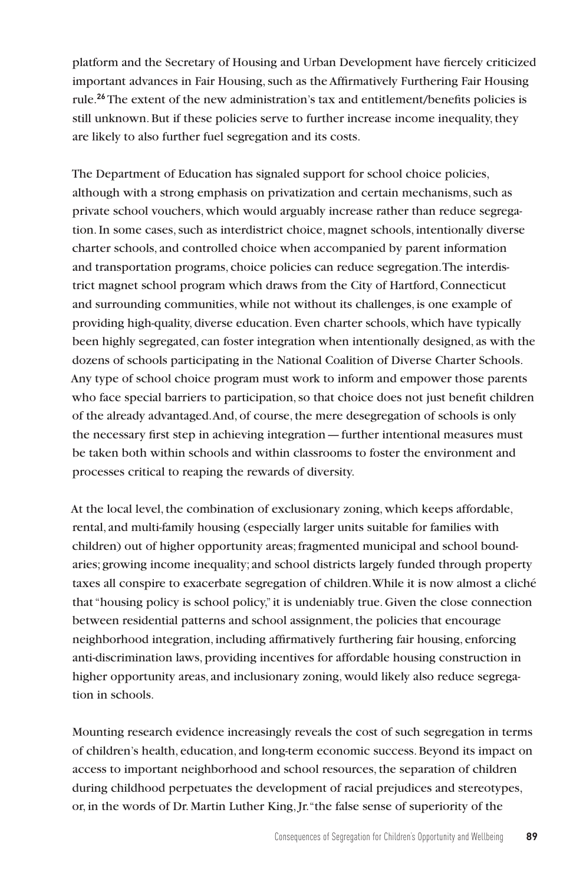platform and the Secretary of Housing and Urban Development have fiercely criticized important advances in Fair Housing, such as the Affirmatively Furthering Fair Housing rule.**<sup>26</sup>**The extent of the new administration's tax and entitlement/benefits policies is still unknown. But if these policies serve to further increase income inequality, they are likely to also further fuel segregation and its costs.

The Department of Education has signaled support for school choice policies, although with a strong emphasis on privatization and certain mechanisms, such as private school vouchers, which would arguably increase rather than reduce segregation. In some cases, such as interdistrict choice, magnet schools, intentionally diverse charter schools, and controlled choice when accompanied by parent information and transportation programs, choice policies can reduce segregation. The interdistrict magnet school program which draws from the City of Hartford, Connecticut and surrounding communities, while not without its challenges, is one example of providing high-quality, diverse education. Even charter schools, which have typically been highly segregated, can foster integration when intentionally designed, as with the dozens of schools participating in the National Coalition of Diverse Charter Schools. Any type of school choice program must work to inform and empower those parents who face special barriers to participation, so that choice does not just benefit children of the already advantaged. And, of course, the mere desegregation of schools is only the necessary first step in achieving integration—further intentional measures must be taken both within schools and within classrooms to foster the environment and processes critical to reaping the rewards of diversity.

At the local level, the combination of exclusionary zoning, which keeps affordable, rental, and multi-family housing (especially larger units suitable for families with children) out of higher opportunity areas; fragmented municipal and school boundaries; growing income inequality; and school districts largely funded through property taxes all conspire to exacerbate segregation of children. While it is now almost a cliché that "housing policy is school policy," it is undeniably true. Given the close connection between residential patterns and school assignment, the policies that encourage neighborhood integration, including affirmatively furthering fair housing, enforcing anti-discrimination laws, providing incentives for affordable housing construction in higher opportunity areas, and inclusionary zoning, would likely also reduce segregation in schools.

Mounting research evidence increasingly reveals the cost of such segregation in terms of children's health, education, and long-term economic success. Beyond its impact on access to important neighborhood and school resources, the separation of children during childhood perpetuates the development of racial prejudices and stereotypes, or, in the words of Dr. Martin Luther King, Jr. "the false sense of superiority of the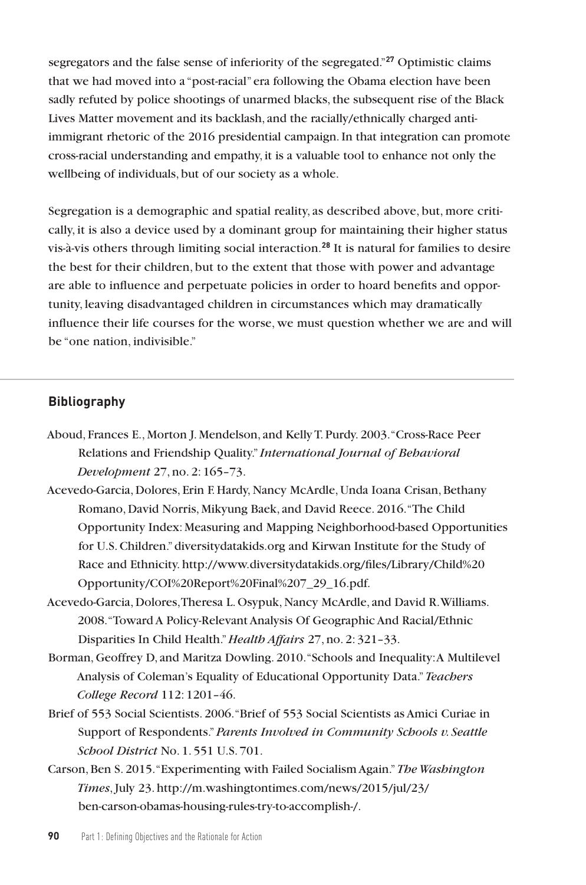segregators and the false sense of inferiority of the segregated."**<sup>27</sup>** Optimistic claims that we had moved into a "post-racial" era following the Obama election have been sadly refuted by police shootings of unarmed blacks, the subsequent rise of the Black Lives Matter movement and its backlash, and the racially/ethnically charged antiimmigrant rhetoric of the 2016 presidential campaign. In that integration can promote cross-racial understanding and empathy, it is a valuable tool to enhance not only the wellbeing of individuals, but of our society as a whole.

Segregation is a demographic and spatial reality, as described above, but, more critically, it is also a device used by a dominant group for maintaining their higher status vis-à-vis others through limiting social interaction.**<sup>28</sup>** It is natural for families to desire the best for their children, but to the extent that those with power and advantage are able to influence and perpetuate policies in order to hoard benefits and opportunity, leaving disadvantaged children in circumstances which may dramatically influence their life courses for the worse, we must question whether we are and will be "one nation, indivisible."

#### **Bibliography**

- Aboud, Frances E., Morton J. Mendelson, and Kelly T. Purdy. 2003. "Cross-Race Peer Relations and Friendship Quality." *International Journal of Behavioral Development* 27, no. 2: 165–73.
- Acevedo-Garcia, Dolores, Erin F. Hardy, Nancy McArdle, Unda Ioana Crisan, Bethany Romano, David Norris, Mikyung Baek, and David Reece. 2016. "The Child Opportunity Index: Measuring and Mapping Neighborhood-based Opportunities for U.S. Children." diversitydatakids.org and Kirwan Institute for the Study of Race and Ethnicity. http://www.diversitydatakids.org/files/Library/Child%20 Opportunity/COI%20Report%20Final%207\_29\_16.pdf.
- Acevedo-Garcia, Dolores, Theresa L. Osypuk, Nancy McArdle, and David R. Williams. 2008. "Toward A Policy-Relevant Analysis Of Geographic And Racial/Ethnic Disparities In Child Health." *Health Affairs* 27, no. 2: 321–33.
- Borman, Geoffrey D, and Maritza Dowling. 2010. "Schools and Inequality: A Multilevel Analysis of Coleman's Equality of Educational Opportunity Data." *Teachers College Record* 112: 1201–46.
- Brief of 553 Social Scientists. 2006. "Brief of 553 Social Scientists as Amici Curiae in Support of Respondents." *Parents Involved in Community Schools v. Seattle School District* No. 1. 551 U.S. 701.
- Carson, Ben S. 2015. "Experimenting with Failed Socialism Again." *The Washington Times*, July 23. http://m.washingtontimes.com/news/2015/jul/23/ ben-carson-obamas-housing-rules-try-to-accomplish-/.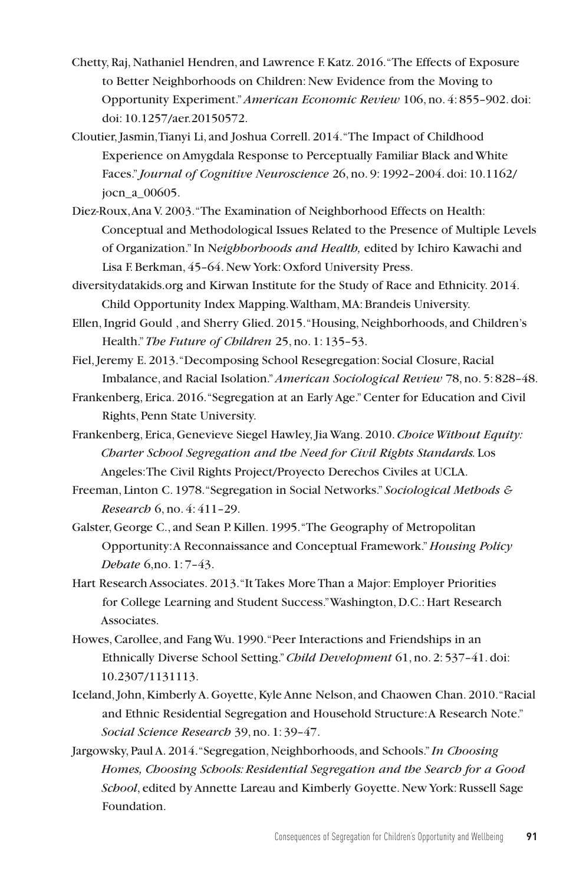- Chetty, Raj, Nathaniel Hendren, and Lawrence F. Katz. 2016. "The Effects of Exposure to Better Neighborhoods on Children: New Evidence from the Moving to Opportunity Experiment." *American Economic Review* 106, no. 4: 855–902. doi: doi: 10.1257/aer.20150572.
- Cloutier, Jasmin, Tianyi Li, and Joshua Correll. 2014. "The Impact of Childhood Experience on Amygdala Response to Perceptually Familiar Black and White Faces." *Journal of Cognitive Neuroscience* 26, no. 9: 1992–2004. doi: 10.1162/ jocn\_a\_00605.
- Diez-Roux, Ana V. 2003. "The Examination of Neighborhood Effects on Health: Conceptual and Methodological Issues Related to the Presence of Multiple Levels of Organization." In N*eighborhoods and Health,* edited by Ichiro Kawachi and Lisa F. Berkman, 45–64. New York: Oxford University Press.
- diversitydatakids.org and Kirwan Institute for the Study of Race and Ethnicity. 2014. Child Opportunity Index Mapping. Waltham, MA: Brandeis University.
- Ellen, Ingrid Gould , and Sherry Glied. 2015. "Housing, Neighborhoods, and Children's Health." *The Future of Children* 25, no. 1: 135–53.
- Fiel, Jeremy E. 2013. "Decomposing School Resegregation: Social Closure, Racial Imbalance, and Racial Isolation." *American Sociological Review* 78, no. 5: 828–48.
- Frankenberg, Erica. 2016. "Segregation at an Early Age." Center for Education and Civil Rights, Penn State University.
- Frankenberg, Erica, Genevieve Siegel Hawley, Jia Wang. 2010. *Choice Without Equity: Charter School Segregation and the Need for Civil Rights Standards.* Los Angeles: The Civil Rights Project/Proyecto Derechos Civiles at UCLA.
- Freeman, Linton C. 1978. "Segregation in Social Networks." *Sociological Methods & Research* 6, no. 4: 411–29.
- Galster, George C., and Sean P. Killen. 1995. "The Geography of Metropolitan Opportunity: A Reconnaissance and Conceptual Framework." *Housing Policy Debate* 6,no. 1: 7–43.
- Hart Research Associates. 2013. "It Takes More Than a Major: Employer Priorities for College Learning and Student Success." Washington, D.C.: Hart Research Associates.
- Howes, Carollee, and Fang Wu. 1990. "Peer Interactions and Friendships in an Ethnically Diverse School Setting." *Child Development* 61, no. 2: 537–41. doi: 10.2307/1131113.
- Iceland, John, Kimberly A. Goyette, Kyle Anne Nelson, and Chaowen Chan. 2010. "Racial and Ethnic Residential Segregation and Household Structure: A Research Note." *Social Science Research* 39, no. 1: 39–47.
- Jargowsky, Paul A. 2014. "Segregation, Neighborhoods, and Schools." *In Choosing Homes, Choosing Schools: Residential Segregation and the Search for a Good School*, edited by Annette Lareau and Kimberly Goyette. New York: Russell Sage Foundation.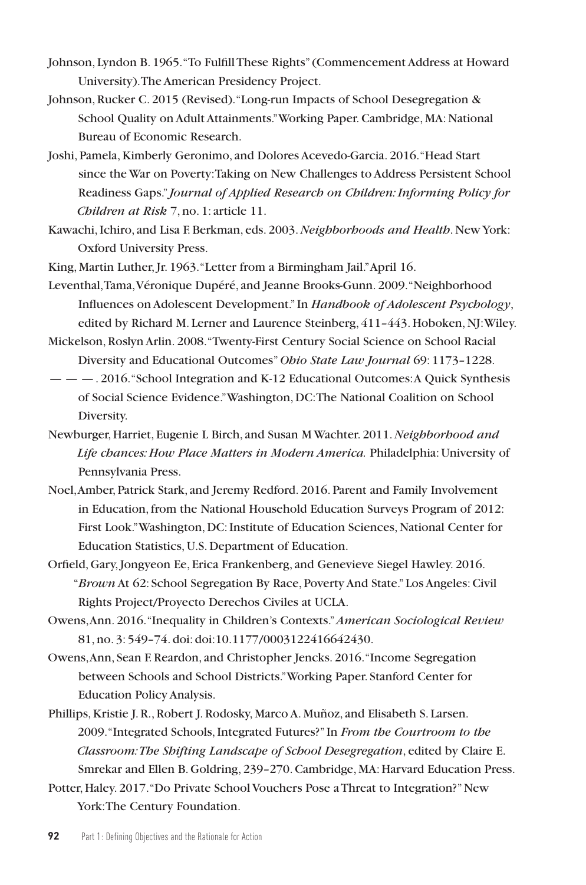- Johnson, Lyndon B. 1965. "To Fulfill These Rights" (Commencement Address at Howard University). The American Presidency Project.
- Johnson, Rucker C. 2015 (Revised). "Long-run Impacts of School Desegregation & School Quality on Adult Attainments." Working Paper. Cambridge, MA: National Bureau of Economic Research.
- Joshi, Pamela, Kimberly Geronimo, and Dolores Acevedo-Garcia. 2016. "Head Start since the War on Poverty: Taking on New Challenges to Address Persistent School Readiness Gaps." *Journal of Applied Research on Children: Informing Policy for Children at Risk* 7, no. 1: article 11.
- Kawachi, Ichiro, and Lisa F. Berkman, eds. 2003. *Neighborhoods and Health*. New York: Oxford University Press.
- King, Martin Luther, Jr. 1963. "Letter from a Birmingham Jail." April 16.
- Leventhal, Tama, Véronique Dupéré, and Jeanne Brooks-Gunn. 2009. "Neighborhood Influences on Adolescent Development." In *Handbook of Adolescent Psychology*, edited by Richard M. Lerner and Laurence Steinberg, 411-443. Hoboken, NJ: Wiley.
- Mickelson, Roslyn Arlin. 2008. "Twenty-First Century Social Science on School Racial Diversity and Educational Outcomes" *Ohio State Law Journal* 69: 1173–1228.
- — —. 2016. "School Integration and K-12 Educational Outcomes: A Quick Synthesis of Social Science Evidence." Washington, DC: The National Coalition on School Diversity.
- Newburger, Harriet, Eugenie L Birch, and Susan M Wachter. 2011. *Neighborhood and Life chances: How Place Matters in Modern America.* Philadelphia: University of Pennsylvania Press.
- Noel, Amber, Patrick Stark, and Jeremy Redford. 2016. Parent and Family Involvement in Education, from the National Household Education Surveys Program of 2012: First Look." Washington, DC: Institute of Education Sciences, National Center for Education Statistics, U.S. Department of Education.
- Orfield, Gary, Jongyeon Ee, Erica Frankenberg, and Genevieve Siegel Hawley. 2016. "*Brown* At 62: School Segregation By Race, Poverty And State." Los Angeles: Civil Rights Project/Proyecto Derechos Civiles at UCLA.
- Owens, Ann. 2016. "Inequality in Children's Contexts." *American Sociological Review*  81, no. 3: 549–74. doi: doi:10.1177/0003122416642430.
- Owens, Ann, Sean F. Reardon, and Christopher Jencks. 2016. "Income Segregation between Schools and School Districts." Working Paper. Stanford Center for Education Policy Analysis.
- Phillips, Kristie J. R., Robert J. Rodosky, Marco A. Muñoz, and Elisabeth S. Larsen. 2009. "Integrated Schools, Integrated Futures?" In *From the Courtroom to the Classroom: The Shifting Landscape of School Desegregation*, edited by Claire E. Smrekar and Ellen B. Goldring, 239–270. Cambridge, MA: Harvard Education Press.
- Potter, Haley. 2017. "Do Private School Vouchers Pose a Threat to Integration?" New York: The Century Foundation.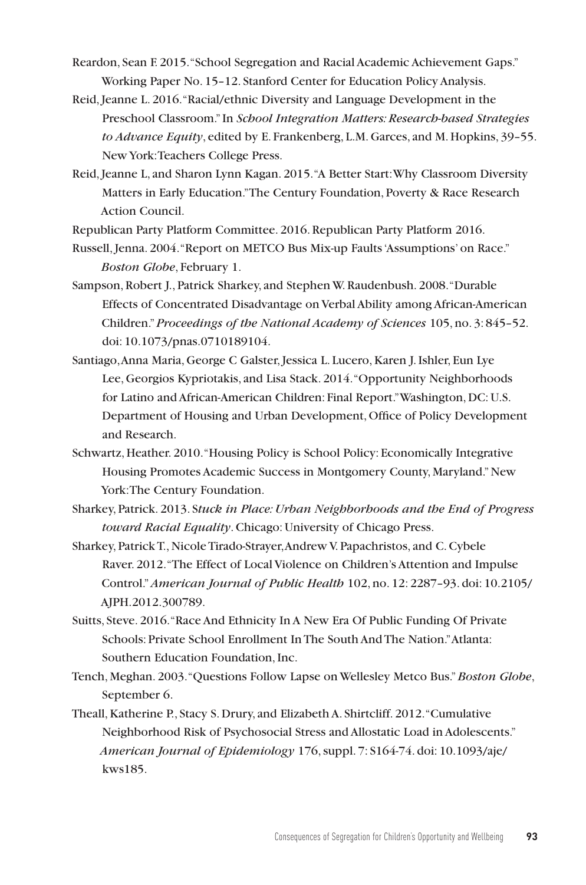- Reardon, Sean F. 2015. "School Segregation and Racial Academic Achievement Gaps." Working Paper No. 15–12. Stanford Center for Education Policy Analysis.
- Reid, Jeanne L. 2016. "Racial/ethnic Diversity and Language Development in the Preschool Classroom." In *School Integration Matters: Research-based Strategies to Advance Equity*, edited by E. Frankenberg, L.M. Garces, and M. Hopkins, 39–55. New York: Teachers College Press.
- Reid, Jeanne L, and Sharon Lynn Kagan. 2015. "A Better Start: Why Classroom Diversity Matters in Early Education." The Century Foundation, Poverty & Race Research Action Council.

Republican Party Platform Committee. 2016. Republican Party Platform 2016.

Russell, Jenna. 2004. "Report on METCO Bus Mix-up Faults 'Assumptions' on Race." *Boston Globe*, February 1.

- Sampson, Robert J., Patrick Sharkey, and Stephen W. Raudenbush. 2008. "Durable Effects of Concentrated Disadvantage on Verbal Ability among African-American Children." *Proceedings of the National Academy of Sciences* 105, no. 3: 845–52. doi: 10.1073/pnas.0710189104.
- Santiago, Anna Maria, George C Galster, Jessica L. Lucero, Karen J. Ishler, Eun Lye Lee, Georgios Kypriotakis, and Lisa Stack. 2014. "Opportunity Neighborhoods for Latino and African-American Children: Final Report." Washington, DC: U.S. Department of Housing and Urban Development, Office of Policy Development and Research.
- Schwartz, Heather. 2010. "Housing Policy is School Policy: Economically Integrative Housing Promotes Academic Success in Montgomery County, Maryland." New York: The Century Foundation.
- Sharkey, Patrick. 2013. S*tuck in Place: Urban Neighborhoods and the End of Progress toward Racial Equality*. Chicago: University of Chicago Press.
- Sharkey, Patrick T., Nicole Tirado-Strayer, Andrew V. Papachristos, and C. Cybele Raver. 2012. "The Effect of Local Violence on Children's Attention and Impulse Control." *American Journal of Public Health* 102, no. 12: 2287–93. doi: 10.2105/ AJPH.2012.300789.
- Suitts, Steve. 2016. "Race And Ethnicity In A New Era Of Public Funding Of Private Schools: Private School Enrollment In The South And The Nation." Atlanta: Southern Education Foundation, Inc.
- Tench, Meghan. 2003. "Questions Follow Lapse on Wellesley Metco Bus." *Boston Globe*, September 6.
- Theall, Katherine P., Stacy S. Drury, and Elizabeth A. Shirtcliff. 2012. "Cumulative Neighborhood Risk of Psychosocial Stress and Allostatic Load in Adolescents." *American Journal of Epidemiology* 176, suppl. 7: S164-74. doi: 10.1093/aje/ kws185.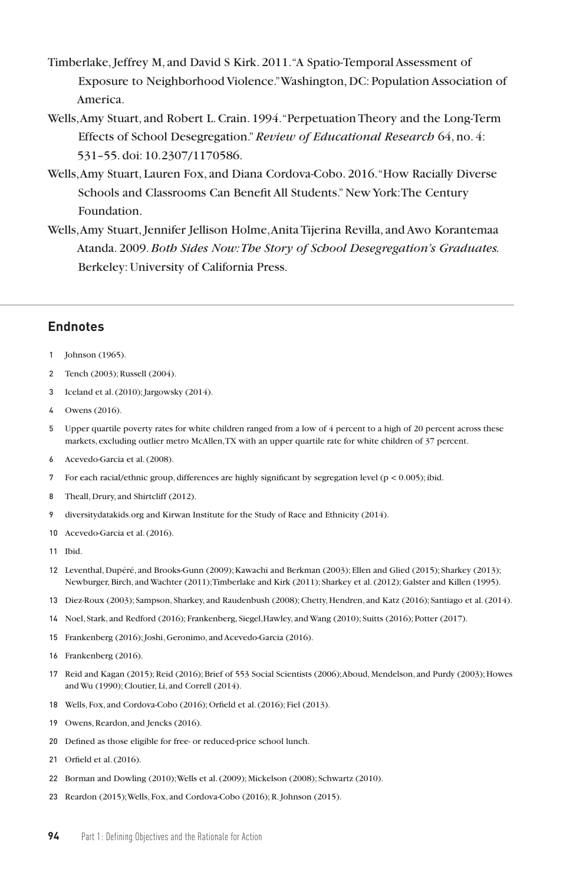- Timberlake, Jeffrey M, and David S Kirk. 2011. "A Spatio-Temporal Assessment of Exposure to Neighborhood Violence." Washington, DC: Population Association of America.
- Wells, Amy Stuart, and Robert L. Crain. 1994. "Perpetuation Theory and the Long-Term Effects of School Desegregation." *Review of Educational Research* 64, no. 4: 531–55. doi: 10.2307/1170586.
- Wells, Amy Stuart, Lauren Fox, and Diana Cordova-Cobo. 2016. "How Racially Diverse Schools and Classrooms Can Benefit All Students." New York: The Century Foundation.
- Wells, Amy Stuart, Jennifer Jellison Holme, Anita Tijerina Revilla, and Awo Korantemaa Atanda. 2009. *Both Sides Now: The Story of School Desegregation's Graduates.*  Berkeley: University of California Press.

#### **Endnotes**

- 1 Johnson (1965).
- 2 Tench (2003); Russell (2004).
- 3 Iceland et al. (2010); Jargowsky (2014).
- 4 Owens (2016).
- 5 Upper quartile poverty rates for white children ranged from a low of 4 percent to a high of 20 percent across these markets, excluding outlier metro McAllen, TX with an upper quartile rate for white children of 37 percent.
- 6 Acevedo-Garcia et al. (2008).
- 7 For each racial/ethnic group, differences are highly significant by segregation level ( $p < 0.005$ ); ibid.
- 8 Theall, Drury, and Shirtcliff (2012).
- 9 diversitydatakids.org and Kirwan Institute for the Study of Race and Ethnicity (2014).
- 10 Acevedo-Garcia et al. (2016).
- 11 Ibid.
- 12 Leventhal, Dupéré, and Brooks-Gunn (2009); Kawachi and Berkman (2003); Ellen and Glied (2015); Sharkey (2013); Newburger, Birch, and Wachter (2011); Timberlake and Kirk (2011); Sharkey et al. (2012); Galster and Killen (1995).
- 13 Diez-Roux (2003); Sampson, Sharkey, and Raudenbush (2008); Chetty, Hendren, and Katz (2016); Santiago et al. (2014).
- 14 Noel, Stark, and Redford (2016); Frankenberg, Siegel,Hawley, and Wang (2010); Suitts (2016); Potter (2017).
- 15 Frankenberg (2016); Joshi, Geronimo, and Acevedo-Garcia (2016).
- 16 Frankenberg (2016).
- 17 Reid and Kagan (2015); Reid (2016); Brief of 553 Social Scientists (2006); Aboud, Mendelson, and Purdy (2003); Howes and Wu (1990); Cloutier, Li, and Correll (2014).
- 18 Wells, Fox, and Cordova-Cobo (2016); Orfield et al. (2016); Fiel (2013).
- 19 Owens, Reardon, and Jencks (2016).
- 20 Defined as those eligible for free- or reduced-price school lunch.
- 21 Orfield et al. (2016).
- 22 Borman and Dowling (2010); Wells et al. (2009); Mickelson (2008); Schwartz (2010).
- 23 Reardon (2015); Wells, Fox, and Cordova-Cobo (2016); R. Johnson (2015).